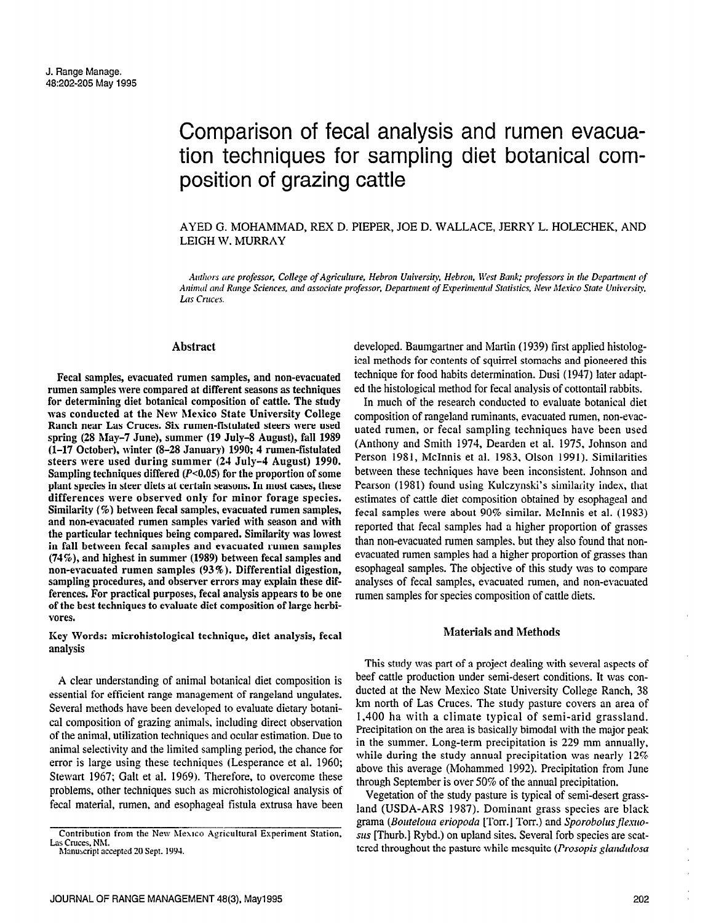# Comparison of fecal analysis and rumen evacuation techniques for sampling diet botanical composition of grazing cattle

AYED G. MOHAMMAD, REX D. PIEPER, JOE D. WALLACE, JERRY L. HOLECHEK, AND LEIGH W. MURRAY

Authors are professor, College of Agriculture, Hebron University, Hebron, West Bank; professors in the Department of Animul and Range Sciences, and associate professor, Department of Experimental Statistics, New Mexico State University, Las Cruces.

### Abstract

Fecal samples, evacuated rumen samples, and non-evacuated rumen samples were compared at different seasons as techniques for determining diet botanical composition of cattle. The study was conducted at the New Mexico State University College Ranch near Las Cruces. Sis rumen-Iistulated steers were used spring (28 May-7 June), summer (19 July-8 August), fall 1989 (1-17 October), winter (S-28 January) 1990; 4 rumen-fistulated steers were used during summer (24 July-4 August) 1990. Sampling techniques differed  $(P<0.05)$  for the proportion of some plant species in steer diets at certain seasons. In most cases, these plant species in steel theis at certain seasons. In most cases, these<br>differences were observed only for minor forgeo species. unterences were observed omly for minor forage species.<br>Similarity (%) between feed complex, evacuated rumen samples, Similarity  $(\%)$  between fecal samples, evacuated rumen samples, and non-evacuated rumen samples varied with season and with the particular techniques being compared. Similarity was lowest in fall between fecal samples and evacuated rumen samples  $(74\%)$ , and highest in summer (1989) between fecal samples and non-evacuated rumen samples  $(93\%)$ . Differential digestion, sampling procedures, and observer errors may explain these differences. For practical purposes, fecal analysis appears to be one of the best techniques to evaluate diet composition of large herbivores.

Key Words: microhistological technique, diet analysis, fecal ang mul

 $\mathbf{A}$  clear understanding of animal botanical diet composition is diet composition is diet composition is die to model of animal botanical diet composition is die to model of animal botanical distribution is diet compo restential for efficient rangeland rangeland und composition is essential for efficient range management of rangeland ungulates. Several methods have been developed to evaluate dietary botanical composition of grazing animals, including direct observation of the animal, utilization techniques and ocular estimation. Due to animal selectivity and the limited sampling period, the chance for error is large using these techniques (Lesperance et al. 1960; Stewart 1967; Galt et al. 1969). Therefore, to overcome these problems, other techniques such as microhistological analysis of fecal material, rumen, and esophageal fistula extrusa have been developed. Baumgartner and Martin (1939) first applied histological methods for contents of squirrel stomachs and pioneered this technique for food habits determination. Dusi (1947) later adapted the histological method for fecal analysis of cottontail rabbits.

In much of the research conducted to evaluate botanical diet composition of rangeland ruminants, evacuated rumen, non-evacuated rumen, or fecal sampling techniques have been used (Anthony and Smith 1974, Dearden et al. 1975, Johnson and Person 1981, McInnis et al. 19S3. Olson 1991). Similarities between these techniques have been inconsistent. Johnson and Pearson (19Sl) found using Kulczynski's similarity index, that estimates of cattle diet composition obtained by esophageal and fecal samples were about 90% similar. McInnis et al. (1983) reported that fecal samples had a higher proportion of grasses than non-evacuated rumen samples, but they also found that nonevacuated rumen samples had a higher proportion of grasses than esophageal samples. The objective of this study was to compare analyses of fecal samples, evacuated rumen, and non-evacuated rumen sous of four samples, overcance fumen, and hope

### Materials and Methods

This study was part of a project dealing with several aspects of between this status was part of a project ugaing with several aspects of beef cattle production under semi-desert conditions. It was con-<br>ducted at the New Mexico State University College Ranch, 38 uncture at the TVEW MEATLO STATE Officersity Conege Kanen, 30  $\frac{1}{4}$  and the climate that we can also seems the semi-arithmeter of semi-architecture semi-architecture. 1,400 ha with a climate typical of semi-arid grassland. Precipitation on the area is basically bimodal with the major peak in the summer. Long-term precipitation is 229 mm annually, while during the study annual precipitation was nearly  $12\%$ above this average (Mohammed 1992). Precipitation from June. through September is over 50% of the annual precipitation.

Vegetation of the study pasture is typical of semi-desert grassland (USDA-ARS 1987). Dominant grass species are black grama (Bouteloua eriopoda [Torr.] Torr.) and Sporobolus flexuosus [Thurb.] Rybd.) on upland sites. Several forb species are scattered throughout the pasture while mesquite (Prosopis glandulosa

Contribution from the New Mexico Agricultural Experiment Station, Las Cruces, NM,

Manuscript accepted 20 Sept. 1994.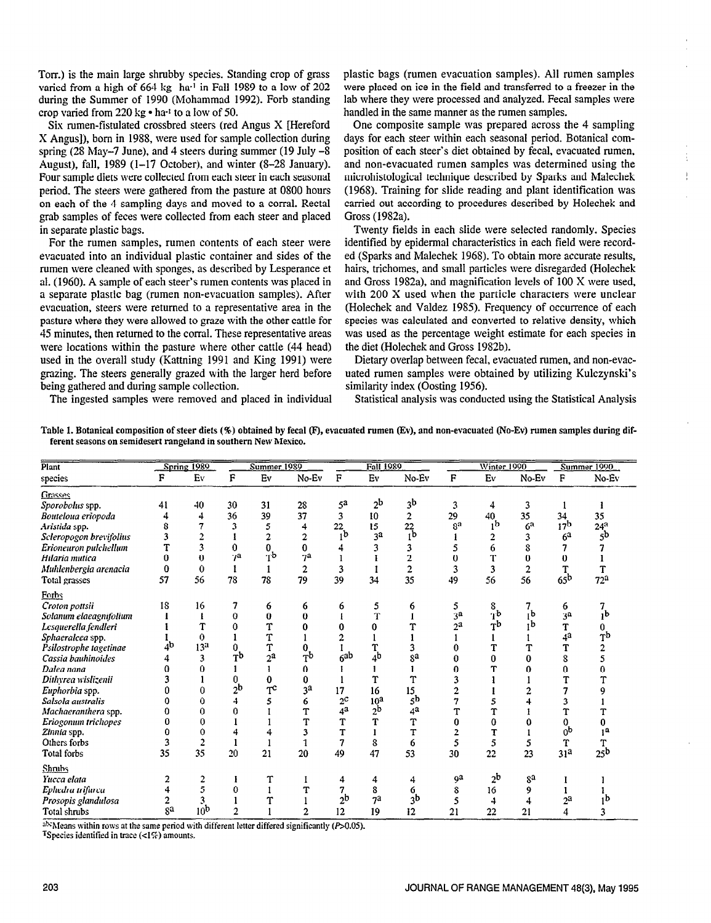Torr.) is the main large shrubby species. Standing crop of grass plastic bags (rumen evacuation samples). All rumen samples varied from a high of  $664 \text{ kg}$  ha<sup>-1</sup> in Fall 1989 to a low of 202 were placed on ice in the field and transferred to a freezer in the during the Summer of 1990 (Mohammad 1992). Forb standing lab where they were processed and analyzed. Fecal samples were crop varied from 220 kg  $\bullet$  ha-<sup>1</sup> to a low of 50. handled in the same manner as the rumen samples.

Six rumen-tistulated crossbred steers (red Angus X [Hereford X Angus]), born in 1988, were used for sample collection during spring (28 May-7 June), and 4 steers during summer (19 July -8 August), fall, 1989 (l-17 October), and winter (8-2s January). Four sample diets were collected from each steer in each seasonal period. The steers were gathered from the pasture at 0800 hours on each of the 4 sampling days and moved to a corral. Rectal grab samples of feces were collected from each steer and placed in separate plastic bags.

For the rumen samples, rumen contents of each steer were evacuated into an individual plastic container and sides of the rumen were cleaned with sponges, as described by Lesperance et al. (1960). A sample of each steer's rumen contents was placed in a separate plastic bag (rumen non-evacuation samples). After evacuation, steers were returned to a representative area in the pasture where they were allowed to graze with the other cattle for 45 minutes, then returned to the corral. These representative areas were locations within the pasture where other cattle (44 head) used in the overall study (Kattning 1991 and King 1991) were grazing. The steers generally grazed with the larger herd before being gathered and during sample collection.

One composite sample was prepared across the 4 sampling days for each steer within each seasonal period. Botanical composition of each steer's diet obtained by fecal, evacuated rumen. and non-evacuated rumen samples was determined using the microhistological technique described by Sparks and Malechek (1968). Training for slide reading and plant identification was carried out according to procedures described by Holechek and Gross (1982a).

Twenty fields in each slide were selected randomly. Species identified by epidermal characteristics in each field were recorded (Sparks and Malechek 196s). To obtain more accurate results, hairs, trichomes, and small particles were disregarded (Holechek and Gross 1982a), and magnification levels of 100 X were used, with 200 X used when the particle characters were unclear (Holechek and Valdez 19S5). Frequency of occurrence of each species was calculated and converted to relative density, which was used as the percentage weight estimate for each species in the diet (Holechek and Gross 19S2b).

Dietary overlap between fecal, evacuated rumen, and non-evacuated rumen samples were obtained by utilizing Kulczynski's similarity index (Oosting 1956).

The ingested samples were removed and placed in individual Statistical analysis was conducted using the Statistical Analysis

Table 1. Botanical composition of steer diets (%) obtained by fecal (F), evacuated rumen (Ev), and non-evacuated (No-Ev) rumen samples during different seasons on semidesert rangeland in southern New hfesico.

| Plant                   |                | Spring 1989      |                | Summer <sub>1989</sub> |                                   |                  | Fall 1989       |                              |                | Winter 1990                          |                         |                 | Summer 1990               |
|-------------------------|----------------|------------------|----------------|------------------------|-----------------------------------|------------------|-----------------|------------------------------|----------------|--------------------------------------|-------------------------|-----------------|---------------------------|
| species                 | F              | Ev               | F              | Ev                     | No-Ev                             | $\mathbf{F}$     | Ev              | $No-Ev$                      | F              | Ev                                   | No-Ev                   | $\mathbf{F}$    | No-Ev                     |
| Grasses                 |                |                  |                |                        |                                   |                  |                 |                              |                |                                      |                         |                 |                           |
| Sporobolus spp.         | 41             | 40               | 30             | 31                     | 28                                | 5ª               | 2 <sup>b</sup>  | 3 <sup>b</sup>               | 3              | 4                                    | 3                       |                 |                           |
| Bouteloua eriopoda      | 4              | 4                | 36             | 39                     | 37                                | 3                | 10              | $\overline{2}$               | 29             | 40                                   | 35                      | 34              | 35                        |
| Aristida spp.           | 8              | 7                | 3              | 5                      | 4                                 | 22               | 15              | $^{22}_{\;\;\;\mathrm{1^b}}$ | 8 <sup>2</sup> | i <sub>b</sub>                       | 6 <sup>2</sup>          | 17 <sup>b</sup> | 24 <sup>3</sup>           |
| Scleropogon brevifolius | ٩              | $\overline{2}$   |                | 2                      | $\overline{2}$                    | 1b               | 3 <sup>a</sup>  |                              |                | 2                                    | 3                       | 6 <sup>3</sup>  | 5 <sup>b</sup>            |
| Erioneuron pulchellum   |                | 3                | 0              | 0                      | $\bf{0}$                          |                  |                 | 3                            |                | 6                                    | 8                       |                 |                           |
| Hilaria mutica          | 0              | $\bf{0}$         | 7 <sup>a</sup> | $T^b$                  | 7 <sup>3</sup>                    |                  |                 | 2                            | 0              | T                                    | 0                       |                 |                           |
| Muhlenbergia arenacia   | $\bf{0}$       | $\bf{0}$         | 1              | ı                      | $\overline{2}$                    | 3                |                 | $\mathbf 2$                  | 3              | 3                                    | $\overline{\mathbf{c}}$ |                 | T                         |
| Total grasses           | 57             | 56               | 78             | 78                     | 79                                | 39               | 34              | 35                           | 49             | 56                                   | 56                      | 65 <sup>b</sup> | $72^a$                    |
| <b>Forbs</b>            |                |                  |                |                        |                                   |                  |                 |                              |                |                                      |                         |                 |                           |
| Croton pottsii          | 18             | 16               | 7              | 6                      | 6                                 | 6                | 5               | 6                            | 5              | 8                                    | 7                       | 6               | 7                         |
| Solanum elaeagnifolium  |                | 1                | $\bf{0}$       | $\bf{0}$               | 0                                 |                  | T               |                              | 3 <sup>a</sup> | $\tilde{T}^b$                        | <sub>I</sub> b          | 3 <sup>a</sup>  | $\mathbf{i}^{\mathbf{b}}$ |
| Lesquerella fendleri    |                | T                | 0              | T                      | 0                                 | 0                | 0               | T                            | 2 <sup>3</sup> | $\overline{\mathbf{r}}^{\mathbf{b}}$ | 1 <sub>p</sub>          | T               | 0                         |
| Sphaeralcea spp.        |                | $\mathbf 0$      |                | T                      |                                   | $\overline{c}$   |                 |                              |                |                                      |                         | 4 <sup>3</sup>  | $\mathbf{T}^{\mathbf{b}}$ |
| Psilostrophe tagetinae  | 4b             | 13 <sup>a</sup>  | $\bf{0}$       | T                      | 0                                 |                  | T               | 3                            | $\theta$       | T                                    | T                       | T               |                           |
| Cassia bauhinoides      |                | 3                | $\tilde{T}^b$  | $2^{\mathbf{a}}$       | $\tilde{\mathbf{T}}^{\mathbf{b}}$ | 6 <sup>ab</sup>  | $\bar{4}$       | ga                           | 0              | 0                                    | 0                       | S               |                           |
| Dalea nana              |                | $\bf{0}$         |                |                        | 0                                 |                  |                 |                              | 0              | Τ                                    | 0                       | 0               |                           |
| Dithyrea wislizenii     |                |                  | 0              | 0                      | 0                                 |                  | T               | T                            | 3              |                                      |                         | Т               |                           |
| Euphorbia spp.          | Û              | 0                | 2 <sub>b</sub> | $T^{\rm c}$            | 3 <sup>a</sup>                    | 17               | 16              | 15                           | $\overline{2}$ |                                      | 2                       | 7               |                           |
| Salsola australis       |                | 0                | 4              | 5                      | 6                                 | $2^{\mathbf{C}}$ | 10 <sup>a</sup> | 5 <sup>b</sup>               | 7              | 5                                    | 4                       | 3               |                           |
| Machaeranthera spp.     | ŋ              | 0                | 0              |                        | T                                 | 4 <sup>3</sup>   | $\frac{1}{2}$   | $4^{\mathbf{a}}$             | T              |                                      |                         |                 |                           |
| Eriogonum trichopes     | 0              | $\bf{0}$         |                |                        | T                                 | T                | T               | T                            | 0              | 0                                    | 0                       | 0               | 0                         |
| Zinnia spp.             | 0              | $\mathbf 0$      | 4              |                        | 3                                 | T                |                 | T                            | $\overline{2}$ | T                                    |                         | 0 <sub>p</sub>  | 1 <sup>2</sup>            |
| Others forbs            | 3              | $\boldsymbol{2}$ | 1              | 1                      | $\mathbf{1}$                      | 7                | 8               | 6                            | 5              | 5                                    | 5                       | $\mathbf T$     | T                         |
| Total forbs             | 35             | 35               | 20             | 21                     | 20                                | 49               | 47              | 53                           | 30             | 22                                   | 23                      | 31 <sup>a</sup> | 25 <sup>b</sup>           |
| <b>Shrubs</b>           |                |                  |                |                        |                                   |                  |                 |                              |                |                                      |                         |                 |                           |
| Yucca elata             | 2              | 2                |                | Т                      |                                   | 4                | 4               | 4                            | 92             | 2 <sup>b</sup>                       | 8 <sup>a</sup>          |                 |                           |
| Ephedra trifurca        |                | 5                |                |                        | T                                 | 7                | 8               | 6                            | 8              | 16                                   | 9                       |                 |                           |
| Prosopis glandulosa     | 2              | 3                |                | T                      |                                   | 2 <sub>b</sub>   | 7 <sup>a</sup>  | 3b                           | 5              | 4                                    | 4                       | 2 <sup>a</sup>  | 1 <sub>p</sub>            |
| Total shrubs            | 8 <sup>3</sup> | 10 <sub>p</sub>  | $\overline{2}$ |                        | $\overline{2}$                    | 12               | 19              | 12                           | 21             | 22                                   | 21                      | 4               | 3                         |

ab- $M$ eans within rows at the same period with different letter differed significantly ( $P > 0.05$ ).

TSpecies identified in trace  $(\langle 1\% \rangle)$  amounts.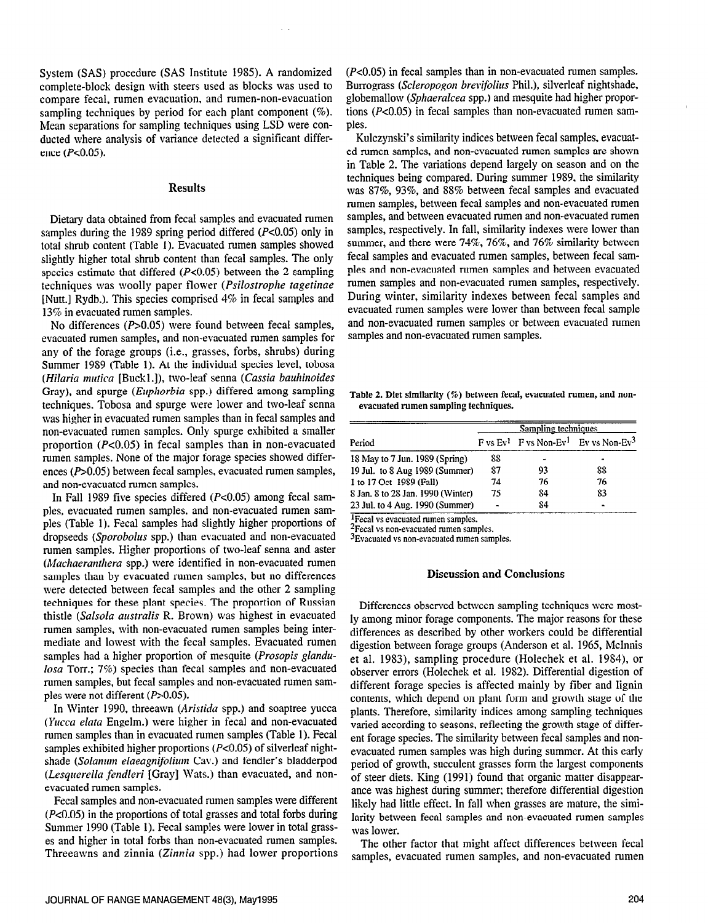System (SAS) procedure (SAS Institute 1985). A randomized complete-block design with steers used as blocks was used to compare fecal, rumen evacuation, and rumen-non-evacuation sampling techniques by period for each plant component (%). Mean separations for sampling techniques using LSD were conducted where analysis of variance detected a significant difference  $(P<0.05)$ .

#### **Results**

Dietary data obtained from fecal samples and evacuated rumen samples during the 1989 spring period differed (P<0.05) only in total shrub content (Table 1). Evacuated rumen samples showed slightly higher total shrub content than fecal samples. The only species estimate that differed  $(P<0.05)$  between the 2 sampling techniques was woolly paper flower (Psilostrophe tagetinae [Nutt.] Rydb.). This species comprised 4% in fecal samples and 13% in evacuated rumen samples.

No differences  $(P>0.05)$  were found between fecal samples, evacuated rumen samples, and non-evacuated rumen samples for any of the forage groups (i.e., grasses, forbs, shrubs) during Summer 1989 (Table 1). At the individual species level, tobosa (Hilaria mutica [Buck1.]), two-leaf senna (Cassia bauhinoides Gray), and spurge (Euphorbia spp.) differed among sampling techniques. Tobosa and spurge were lower and two-leaf senna was higher in evacuated rumen samples than in fecal samples and non-evacuated rumen samples. Only spurge exhibited a smaller proportion  $(P<0.05)$  in fecal samples than in non-evacuated rumen samples. None of the major forage species showed differences ( $P$ >0.05) between fecal samples, evacuated rumen samples, and non-evacuated rumen samples.

In Fall 19S9 five species differed (PcO.05) among fecal samples, evacuated rumen samples, and non-evacuated rumen samples (Table 1). Fecal samples had slightly higher proportions of dropseeds (Sporobolus spp.) than evacuated and non-evacuated rumen samples. Higher proportions of two-leaf senna and aster (Machaeranthera spp.) were identified in non-evacuated rumen samples than by evacuated rumen samples, but no differences samples than by evacuated functions samples, but no differences were detected between fecal samples and the other 2 sampling techniques for these plant species. The proportion of Russian thistle (Salsola australis R. Brown) was highest in evacuated rumen samples and answers. We can also may make the content of the called mediate and lower with the fect samples. Even in the fect samples in the fect of the fect samples. mediate and lowest with the fecal samples. Evacuated rumen samples had a higher proportion of mesquite (Prosopis glandu $losa$  Torr.;  $7\%)$  species than fecal samples and non-evacuated rumen samples, but fecal samples and non-evacuated rumen samples were not different  $(P>0.05)$ .  $\sum_{i=1}^{n}$  Weither the interest (Arison).

In winter  $1990$ , infecawn (*Artshau* spp.) and soaplice yucca (Yucca elata Engelm.) were higher in fecal and non-evacuated rumen samples than in evacuated rumen samples (Table 1). Fecal samples exhibited higher proportions ( $P<0.05$ ) of silverleaf nightshade (Solanum elaeagnifolium Cav.) and fendler's bladderpod (Lesquerella fendleri [Gray] Wats.) than evacuated, and nonevacuated rumen samples.

Fecal samples and non-evacuated rumen samples were different  $(P<0.05)$  in the proportions of total grasses and total forbs during Summer 1990 (Table 1). Fecal samples were lower in total grasses and higher in total forbs than non-evacuated rumen samples.<br>Threeawns and zinnia (Zinnia spp.) had lower proportions

 $(P<0.05)$  in fecal samples than in non-evacuated rumen samples. Burrograss (Scleropogon brevifolius Phil.), silverleaf nightshade, globemallow (*Sphaeralcea* spp.) and mesquite had higher proportions (P<0.05) in fecal samples than non-evacuated rumen samples.

Kulczynski's similarity indices between fecal samples, evacuated rumen samples, and non-evacuated rumen samples are shown in Table 2. The variations depend largely on season and on the techniques being compared. During summer 1989, the similarity was S7%, 93%, and 88% between fecal samples and evacuated rumen samples, between fecal samples and non-evacuated rumen samples, and between evacuated rumen and non-evacuated rumen samples, respectively. In fall, similarity indexes were lower than summer, and there were 74%. 76%, and 76% similarity between fecal samples and evacuated rumen samples, between fecal samples and non-evacuated rumen samples and between evacuated rumen samples and non-evacuated rumen samples, respectively. During winter, similarity indexes between fecal samples and evacuated rumen samples were lower than between fecal sample and non-evacuated rumen samples or between evacuated rumen samples and non-evacuated rumen samples.

Table 2. Diet similarity (5) between fecal, evacuated rumen, and nonevacuated rumen sampling techniques.

|                                   | Sampling techniques |    |                                                                           |  |  |  |  |
|-----------------------------------|---------------------|----|---------------------------------------------------------------------------|--|--|--|--|
| Period                            |                     |    | $F$ vs Ev <sup>1</sup> F vs Non-Ev <sup>1</sup> Ev vs Non-Ev <sup>3</sup> |  |  |  |  |
| 18 May to 7 Jun. 1989 (Spring)    | 88                  |    |                                                                           |  |  |  |  |
| 19 Jul. to 8 Aug 1989 (Summer)    | 87                  | 93 | 88                                                                        |  |  |  |  |
| 1 to 17 Oct 1989 (Fall)           | 74                  | 76 | 76                                                                        |  |  |  |  |
| 8 Jan. 8 to 28 Jan. 1990 (Winter) | 75                  | 84 | 83                                                                        |  |  |  |  |
| 23 Jul. to 4 Aug. 1990 (Summer)   |                     | 84 |                                                                           |  |  |  |  |

<sup>1</sup>Fecal vs evacuated rumen samples.

 $2$ Fecal vs non-evacuated rumen samples.

3Evacuated vs non-evacuated rumen samples.

## Discussion and Conclusions

Differences observed between sampling techniques were mostly among minor forage components. The major reasons for these differences as described by our points. The major reasons for mose differences as described by other workers come be differential. digestion between forage groups (Anderson et al. 1965, McInnis et al. 1983), sampling procedure (Holechek et al. 1984), or observer errors (Holechek et al. 1982). Differential digestion of different forage species is affected mainly by fiber and lignin contents, which depend on plant form and growth stage of the plants. Therefore, similarity indices among sampling techniques varied according to seasons, reflecting the growth stage of different forage species. The similarity between fecal samples and nonevacuated rumen samples was high during summer. At this early period of growth, succulent grasses form the largest components of steer diets. King (1991) found that organic matter disappearance was highest during summer; therefore differential digestion likely had little effect. In fall when grasses are mature, the similarity between fecal samples and non-evacuated rumen samples was lower.  $T_{\text{max}}$  factor that might affect differences between  $T_{\text{max}}$ 

The other factor that might affect differences between fecal